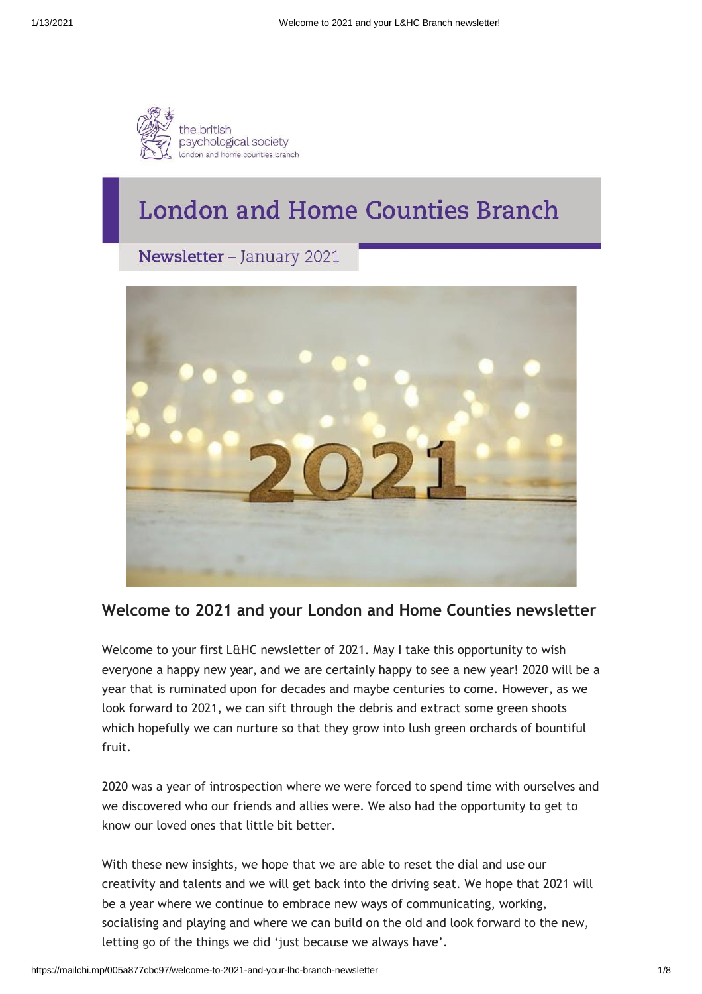

# **London and Home Counties Branch**

Newsletter - January 2021



# **Welcome to 2021 and your London and Home Counties newsletter**

Welcome to your first L&HC newsletter of 2021. May I take this opportunity to wish everyone a happy new year, and we are certainly happy to see a new year! 2020 will be a year that is ruminated upon for decades and maybe centuries to come. However, as we look forward to 2021, we can sift through the debris and extract some green shoots which hopefully we can nurture so that they grow into lush green orchards of bountiful fruit.

2020 was a year of introspection where we were forced to spend time with ourselves and we discovered who our friends and allies were. We also had the opportunity to get to know our loved ones that little bit better.

With these new insights, we hope that we are able to reset the dial and use our creativity and talents and we will get back into the driving seat. We hope that 2021 will be a year where we continue to embrace new ways of communicating, working, socialising and playing and where we can build on the old and look forward to the new, letting go of the things we did 'just because we always have'.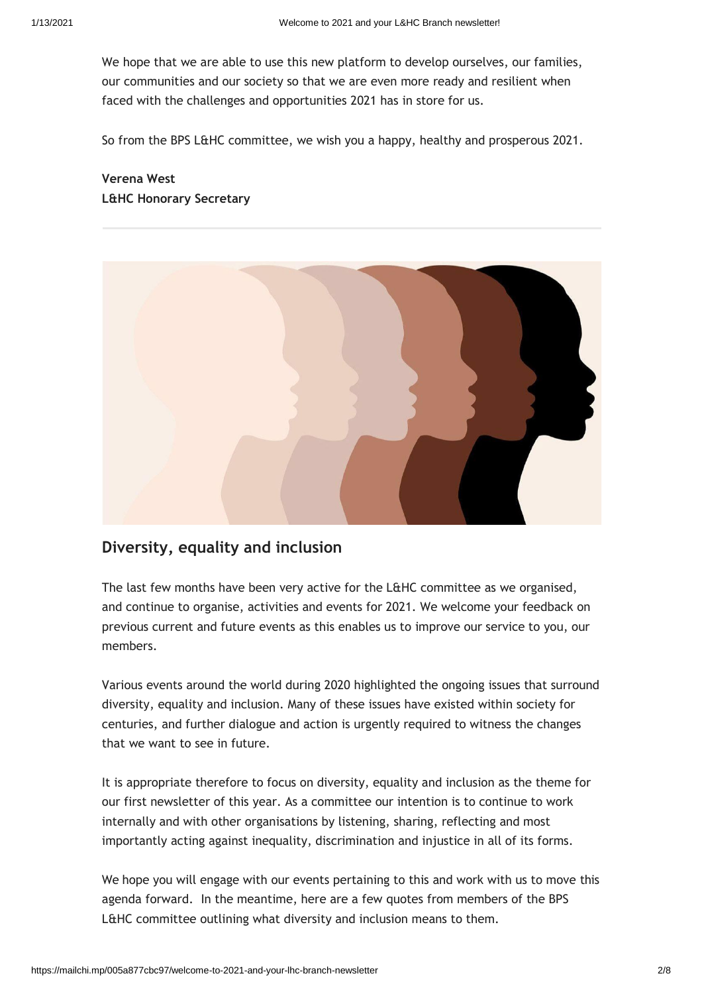We hope that we are able to use this new platform to develop ourselves, our families, our communities and our society so that we are even more ready and resilient when faced with the challenges and opportunities 2021 has in store for us.

So from the BPS L&HC committee, we wish you a happy, healthy and prosperous 2021.

# **Verena West L&HC Honorary Secretary**



# **Diversity, equality and inclusion**

The last few months have been very active for the L&HC committee as we organised, and continue to organise, activities and events for 2021. We welcome your feedback on previous current and future events as this enables us to improve our service to you, our members.

Various events around the world during 2020 highlighted the ongoing issues that surround diversity, equality and inclusion. Many of these issues have existed within society for centuries, and further dialogue and action is urgently required to witness the changes that we want to see in future.

It is appropriate therefore to focus on diversity, equality and inclusion as the theme for our first newsletter of this year. As a committee our intention is to continue to work internally and with other organisations by listening, sharing, reflecting and most importantly acting against inequality, discrimination and injustice in all of its forms.

We hope you will engage with our events pertaining to this and work with us to move this agenda forward. In the meantime, here are a few quotes from members of the BPS L&HC committee outlining what diversity and inclusion means to them.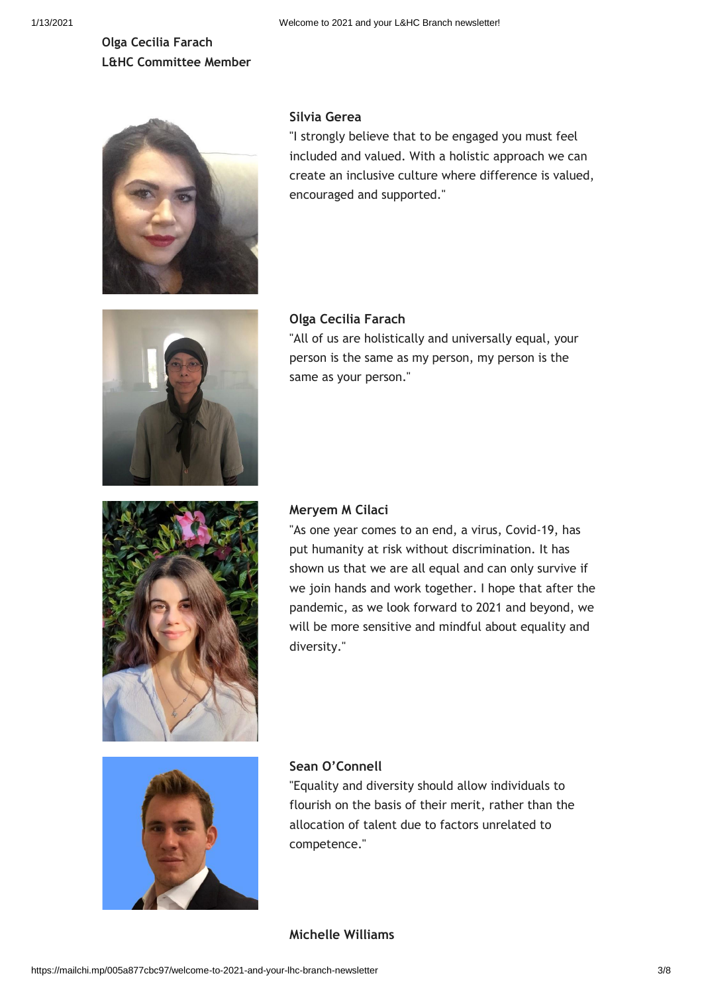# **Olga Cecilia Farach L&HC Committee Member**



### **Silvia Gerea**

"I strongly believe that to be engaged you must feel included and valued. With a holistic approach we can create an inclusive culture where difference is valued, encouraged and supported."



#### **Olga Cecilia Farach**

"All of us are holistically and universally equal, your person is the same as my person, my person is the same as your person."



#### **Meryem M Cilaci**

"As one year comes to an end, a virus, Covid-19, has put humanity at risk without discrimination. It has shown us that we are all equal and can only survive if we join hands and work together. I hope that after the pandemic, as we look forward to 2021 and beyond, we will be more sensitive and mindful about equality and diversity."



#### **Sean O'Connell**

"Equality and diversity should allow individuals to flourish on the basis of their merit, rather than the allocation of talent due to factors unrelated to competence."

#### **Michelle Williams**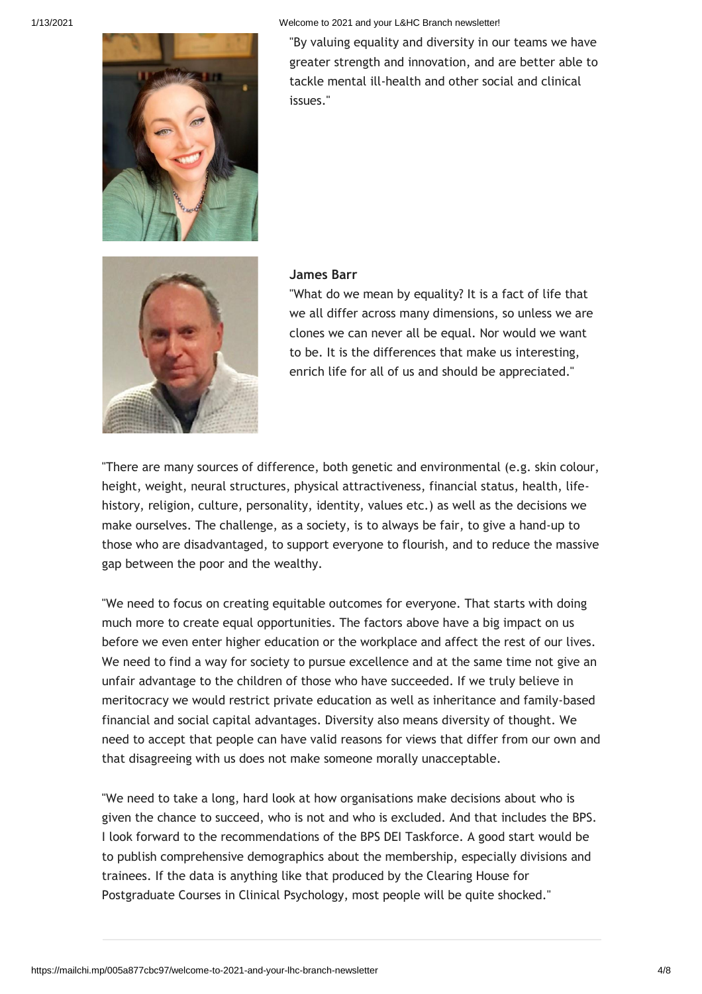

1/13/2021 Welcome to 2021 and your L&HC Branch newsletter!

"By valuing equality and diversity in our teams we have greater strength and innovation, and are better able to tackle mental ill-health and other social and clinical issues."



#### **James Barr**

"What do we mean by equality? It is a fact of life that we all differ across many dimensions, so unless we are clones we can never all be equal. Nor would we want to be. It is the differences that make us interesting, enrich life for all of us and should be appreciated."

"There are many sources of difference, both genetic and environmental (e.g. skin colour, height, weight, neural structures, physical attractiveness, financial status, health, lifehistory, religion, culture, personality, identity, values etc.) as well as the decisions we make ourselves. The challenge, as a society, is to always be fair, to give a hand-up to those who are disadvantaged, to support everyone to flourish, and to reduce the massive gap between the poor and the wealthy.

"We need to focus on creating equitable outcomes for everyone. That starts with doing much more to create equal opportunities. The factors above have a big impact on us before we even enter higher education or the workplace and affect the rest of our lives. We need to find a way for society to pursue excellence and at the same time not give an unfair advantage to the children of those who have succeeded. If we truly believe in meritocracy we would restrict private education as well as inheritance and family-based financial and social capital advantages. Diversity also means diversity of thought. We need to accept that people can have valid reasons for views that differ from our own and that disagreeing with us does not make someone morally unacceptable.

"We need to take a long, hard look at how organisations make decisions about who is given the chance to succeed, who is not and who is excluded. And that includes the BPS. I look forward to the recommendations of the BPS DEI Taskforce. A good start would be to publish comprehensive demographics about the membership, especially divisions and trainees. If the data is anything like that produced by the Clearing House for Postgraduate Courses in Clinical Psychology, most people will be quite shocked."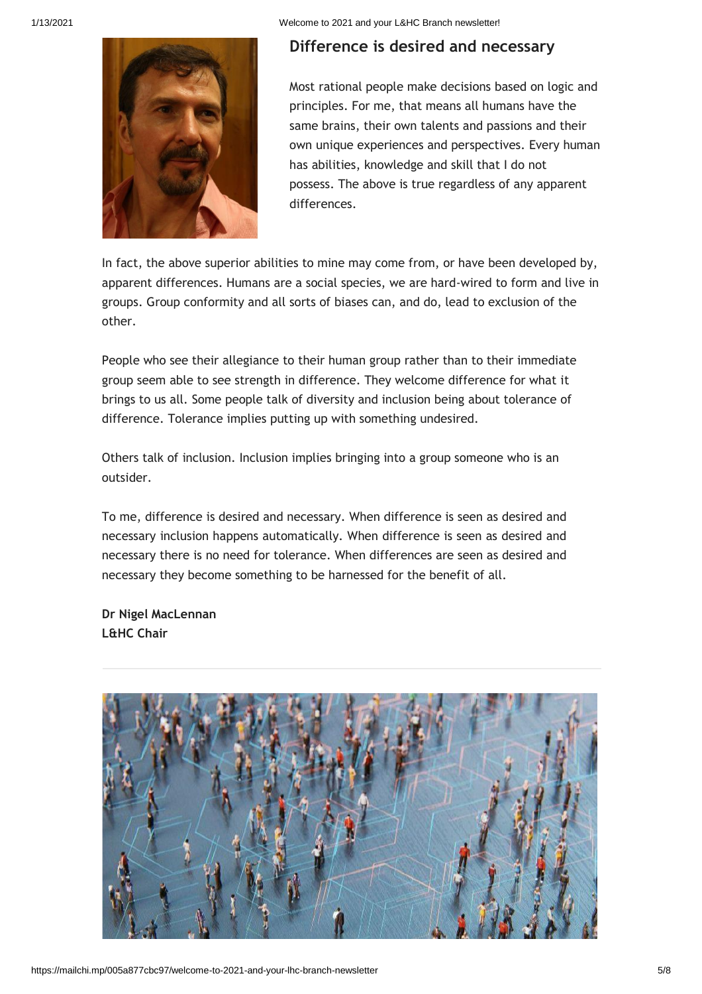

# **Difference is desired and necessary**

Most rational people make decisions based on logic and principles. For me, that means all humans have the same brains, their own talents and passions and their own unique experiences and perspectives. Every human has abilities, knowledge and skill that I do not possess. The above is true regardless of any apparent differences.

In fact, the above superior abilities to mine may come from, or have been developed by, apparent differences. Humans are a social species, we are hard-wired to form and live in groups. Group conformity and all sorts of biases can, and do, lead to exclusion of the other.

People who see their allegiance to their human group rather than to their immediate group seem able to see strength in difference. They welcome difference for what it brings to us all. Some people talk of diversity and inclusion being about tolerance of difference. Tolerance implies putting up with something undesired.

Others talk of inclusion. Inclusion implies bringing into a group someone who is an outsider.

To me, difference is desired and necessary. When difference is seen as desired and necessary inclusion happens automatically. When difference is seen as desired and necessary there is no need for tolerance. When differences are seen as desired and necessary they become something to be harnessed for the benefit of all.

**Dr Nigel MacLennan L&HC Chair**

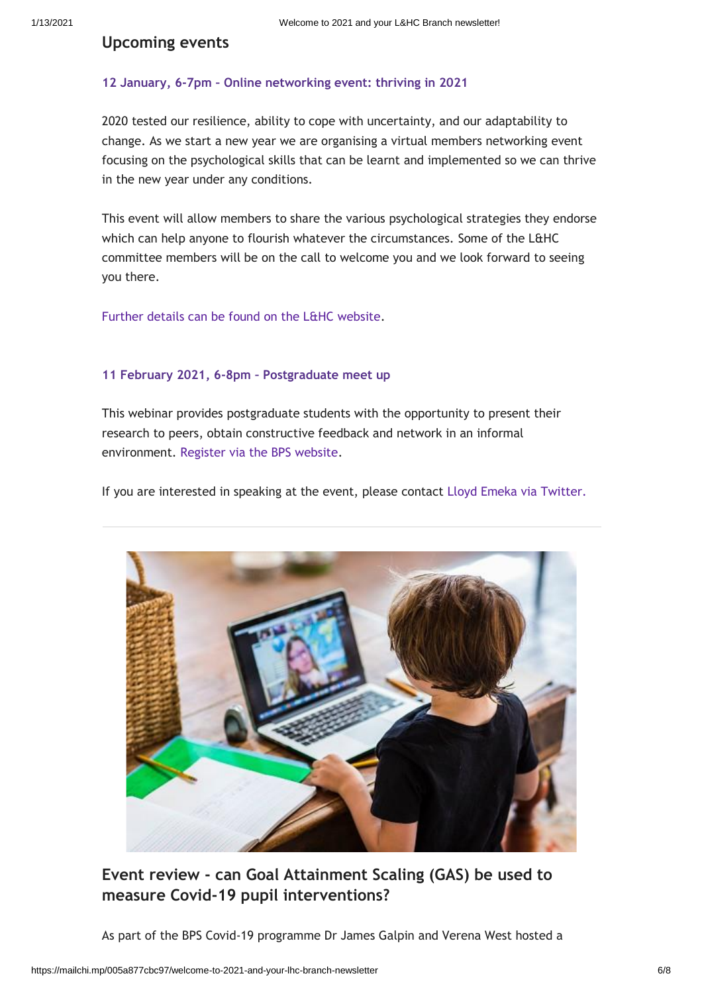### **Upcoming events**

#### **12 January, 6-7pm – [Online networking event: thriving in 2021](https://www.bps.org.uk/member-microsites/london-and-home-counties-branch/events)**

2020 tested our resilience, ability to cope with uncertainty, and our adaptability to change. As we start a new year we are organising a virtual members networking event focusing on the psychological skills that can be learnt and implemented so we can thrive in the new year under any conditions.

This event will allow members to share the various psychological strategies they endorse which can help anyone to flourish whatever the circumstances. Some of the L&HC committee members will be on the call to welcome you and we look forward to seeing you there.

[Further details can be found on the L&HC website.](https://www.bps.org.uk/member-microsites/london-and-home-counties-branch/events)

#### **[11 February 2021, 6-8pm](https://www.bps.org.uk/events/postgraduate-meet-0) – Postgraduate meet up**

This webinar provides postgraduate students with the opportunity to present their research to peers, obtain constructive feedback and network in an informal environment. [Register via the BPS website.](https://www.bps.org.uk/events/postgraduate-meet-0)

If you are interested in speaking at the event, please contact [Lloyd Emeka via Twitter.](https://twitter.com/nathan78)



**Event review - can Goal Attainment Scaling (GAS) be used to measure Covid-19 pupil interventions?**

As part of the BPS Covid-19 programme Dr James Galpin and Verena West hosted a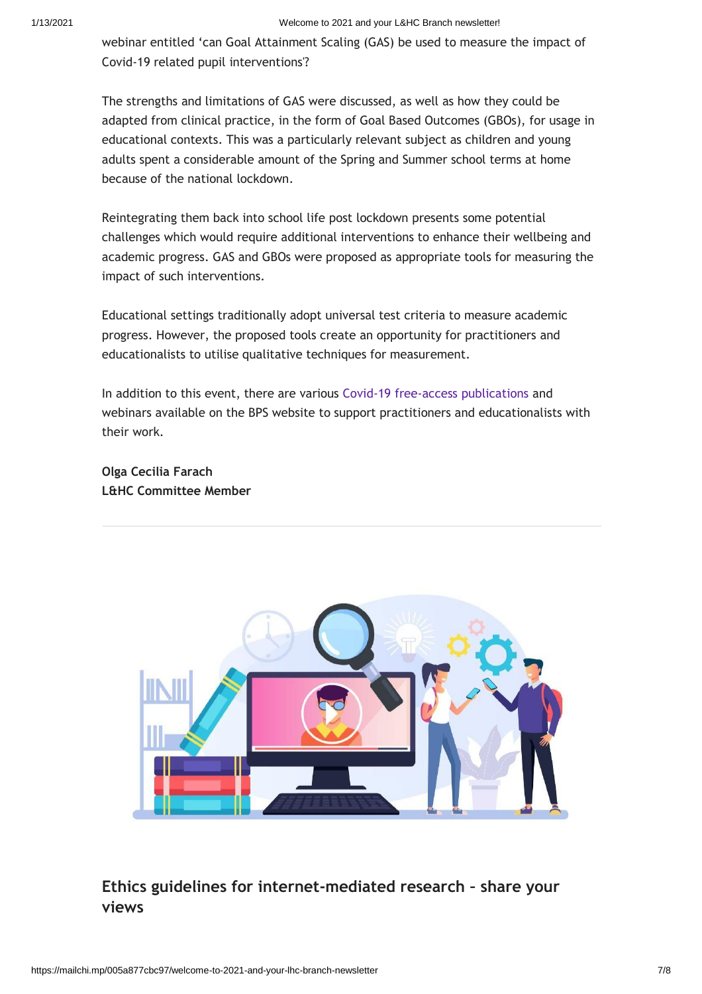#### 1/13/2021 Welcome to 2021 and your L&HC Branch newsletter!

webinar entitled 'can Goal Attainment Scaling (GAS) be used to measure the impact of Covid-19 related pupil interventions'?

The strengths and limitations of GAS were discussed, as well as how they could be adapted from clinical practice, in the form of Goal Based Outcomes (GBOs), for usage in educational contexts. This was a particularly relevant subject as children and young adults spent a considerable amount of the Spring and Summer school terms at home because of the national lockdown.

Reintegrating them back into school life post lockdown presents some potential challenges which would require additional interventions to enhance their wellbeing and academic progress. GAS and GBOs were proposed as appropriate tools for measuring the impact of such interventions.

Educational settings traditionally adopt universal test criteria to measure academic progress. However, the proposed tools create an opportunity for practitioners and educationalists to utilise qualitative techniques for measurement.

In addition to this event, there are various [Covid-19 free-access publications a](https://www.bps.org.uk/coronavirus-resources)nd webinars available on the BPS website to support practitioners and educationalists with their work.

**Olga Cecilia Farach L&HC Committee Member**



# **Ethics guidelines for internet-mediated research – share your views**